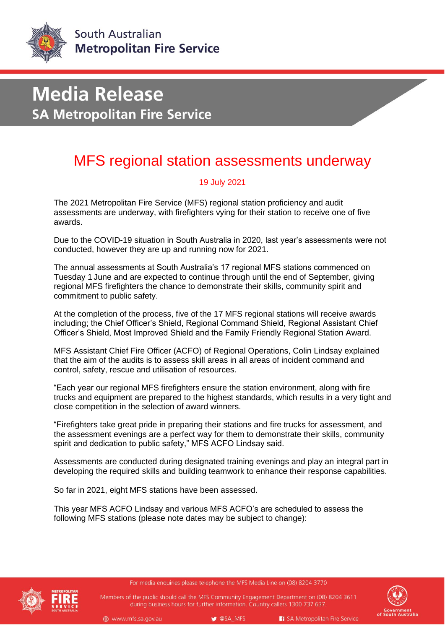

# **Media Release SA Metropolitan Fire Service**

### MFS regional station assessments underway

### 19 July 2021

The 2021 Metropolitan Fire Service (MFS) regional station proficiency and audit assessments are underway, with firefighters vying for their station to receive one of five awards.

Due to the COVID-19 situation in South Australia in 2020, last year's assessments were not conducted, however they are up and running now for 2021.

The annual assessments at South Australia's 17 regional MFS stations commenced on Tuesday 1 June and are expected to continue through until the end of September, giving regional MFS firefighters the chance to demonstrate their skills, community spirit and commitment to public safety.

At the completion of the process, five of the 17 MFS regional stations will receive awards including; the Chief Officer's Shield, Regional Command Shield, Regional Assistant Chief Officer's Shield, Most Improved Shield and the Family Friendly Regional Station Award.

MFS Assistant Chief Fire Officer (ACFO) of Regional Operations, Colin Lindsay explained that the aim of the audits is to assess skill areas in all areas of incident command and control, safety, rescue and utilisation of resources.

"Each year our regional MFS firefighters ensure the station environment, along with fire trucks and equipment are prepared to the highest standards, which results in a very tight and close competition in the selection of award winners.

"Firefighters take great pride in preparing their stations and fire trucks for assessment, and the assessment evenings are a perfect way for them to demonstrate their skills, community spirit and dedication to public safety," MFS ACFO Lindsay said.

Assessments are conducted during designated training evenings and play an integral part in developing the required skills and building teamwork to enhance their response capabilities.

So far in 2021, eight MFS stations have been assessed.

This year MFS ACFO Lindsay and various MFS ACFO's are scheduled to assess the following MFS stations (please note dates may be subject to change):



For media enquiries please telephone the MFS Media Line on (08) 8204 3770

Members of the public should call the MFS Community Engagement Department on (08) 8204 3611 during business hours for further information. Country callers 1300 737 637.